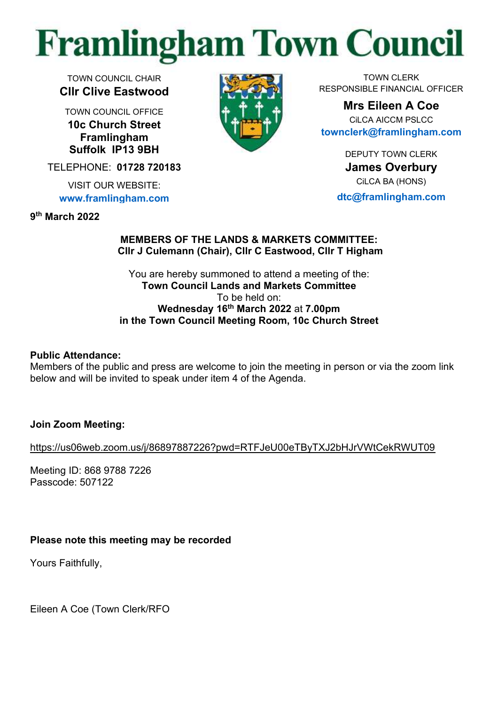# **Framlingham Town Council**

TOWN COUNCIL CHAIR **Cllr Clive Eastwood**

TOWN COUNCIL OFFICE **10c Church Street Framlingham Suffolk IP13 9BH**

TELEPHONE: **01728 720183**

VISIT OUR WEBSITE: **[www.framlingham.com](http://www.framlingham.com/)**

**9 th March 2022**



TOWN CLERK RESPONSIBLE FINANCIAL OFFICER

**Mrs Eileen A Coe** CiLCA AICCM PSLCC **[townclerk@framlingham.com](mailto:townclerk@framlingham.com)**

> DEPUTY TOWN CLERK **James Overbury** CiLCA BA (HONS)

**[dtc@framlingham.com](mailto:dtc@framlingham.com)**

#### **MEMBERS OF THE LANDS & MARKETS COMMITTEE: Cllr J Culemann (Chair), Cllr C Eastwood, Cllr T Higham**

You are hereby summoned to attend a meeting of the: **Town Council Lands and Markets Committee** To be held on: **Wednesday 16th March 2022** at **7.00pm in the Town Council Meeting Room, 10c Church Street**

## **Public Attendance:**

Members of the public and press are welcome to join the meeting in person or via the zoom link below and will be invited to speak under item 4 of the Agenda.

**Join Zoom Meeting:**

<https://us06web.zoom.us/j/86897887226?pwd=RTFJeU00eTByTXJ2bHJrVWtCekRWUT09>

Meeting ID: 868 9788 7226 Passcode: 507122

# **Please note this meeting may be recorded**

Yours Faithfully,

Eileen A Coe (Town Clerk/RFO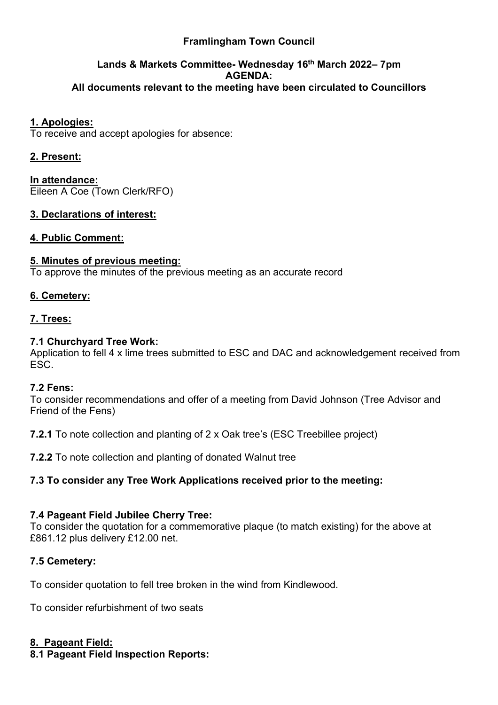## **Framlingham Town Council**

#### **Lands & Markets Committee- Wednesday 16 th March 2022– 7pm AGENDA: All documents relevant to the meeting have been circulated to Councillors**

#### **1. Apologies:**

To receive and accept apologies for absence:

## **2. Present:**

**In attendance:** Eileen A Coe (Town Clerk/RFO)

#### **3. Declarations of interest:**

#### **4. Public Comment:**

#### **5. Minutes of previous meeting:**

To approve the minutes of the previous meeting as an accurate record

#### **6. Cemetery:**

#### **7. Trees:**

#### **7.1 Churchyard Tree Work:**

Application to fell 4 x lime trees submitted to ESC and DAC and acknowledgement received from ESC.

#### **7.2 Fens:**

To consider recommendations and offer of a meeting from David Johnson (Tree Advisor and Friend of the Fens)

**7.2.1** To note collection and planting of 2 x Oak tree's (ESC Treebillee project)

**7.2.2** To note collection and planting of donated Walnut tree

## **7.3 To consider any Tree Work Applications received prior to the meeting:**

#### **7.4 Pageant Field Jubilee Cherry Tree:**

To consider the quotation for a commemorative plaque (to match existing) for the above at £861.12 plus delivery £12.00 net.

#### **7.5 Cemetery:**

To consider quotation to fell tree broken in the wind from Kindlewood.

To consider refurbishment of two seats

#### **8. Pageant Field:**

**8.1 Pageant Field Inspection Reports:**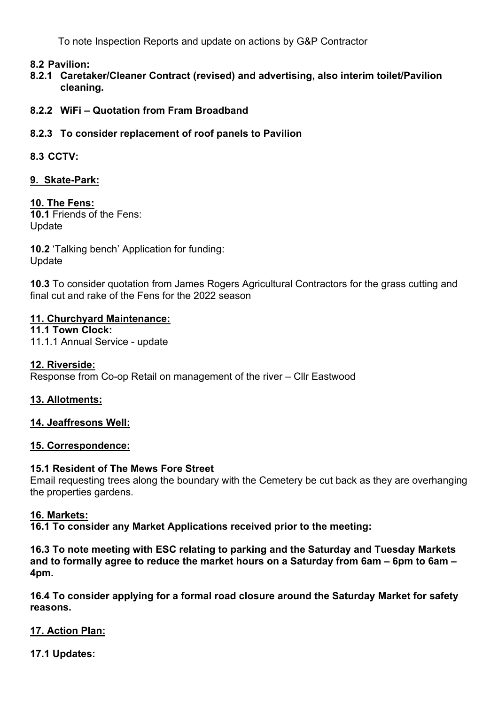To note Inspection Reports and update on actions by G&P Contractor

#### **8.2 Pavilion:**

- **8.2.1 Caretaker/Cleaner Contract (revised) and advertising, also interim toilet/Pavilion cleaning.**
- **8.2.2 WiFi – Quotation from Fram Broadband**

#### **8.2.3 To consider replacement of roof panels to Pavilion**

#### **8.3 CCTV:**

#### **9. Skate-Park:**

#### **10. The Fens:**

**10.1** Friends of the Fens: Update

**10.2** 'Talking bench' Application for funding: Update

**10.3** To consider quotation from James Rogers Agricultural Contractors for the grass cutting and final cut and rake of the Fens for the 2022 season

#### **11. Churchyard Maintenance:**

**11.1 Town Clock:** 11.1.1 Annual Service - update

#### **12. Riverside:**

Response from Co-op Retail on management of the river – Cllr Eastwood

#### **13. Allotments:**

#### **14. Jeaffresons Well:**

#### **15. Correspondence:**

#### **15.1 Resident of The Mews Fore Street**

Email requesting trees along the boundary with the Cemetery be cut back as they are overhanging the properties gardens.

#### **16. Markets:**

**16.1 To consider any Market Applications received prior to the meeting:**

**16.3 To note meeting with ESC relating to parking and the Saturday and Tuesday Markets and to formally agree to reduce the market hours on a Saturday from 6am – 6pm to 6am – 4pm.**

**16.4 To consider applying for a formal road closure around the Saturday Market for safety reasons.**

#### **17. Action Plan:**

**17.1 Updates:**